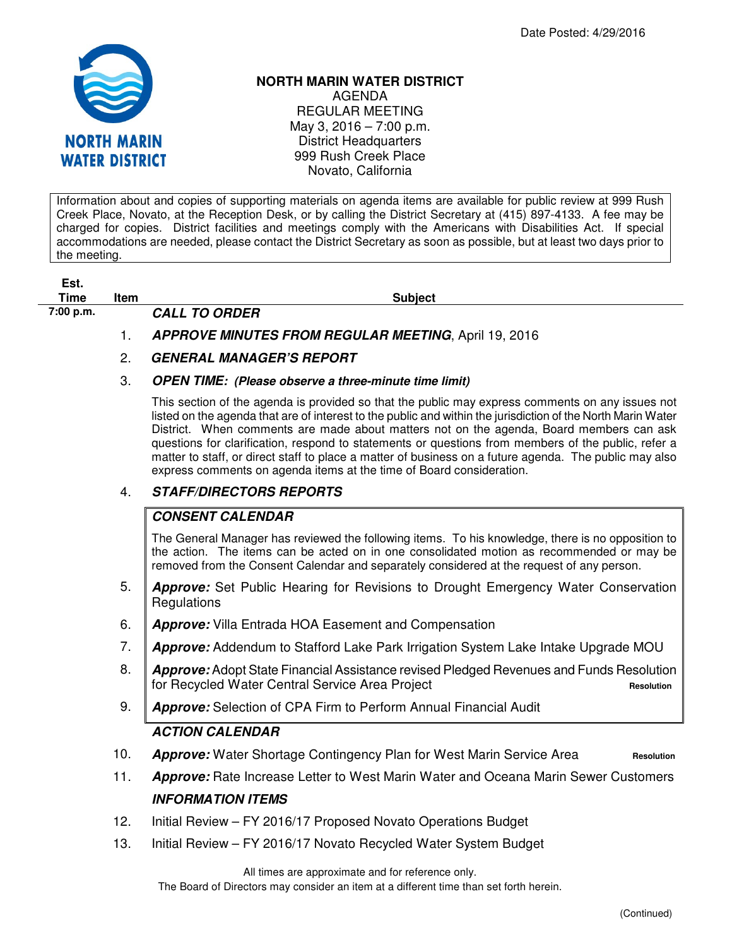

# **NORTH MARIN WATER DISTRICT**

AGENDA REGULAR MEETING May 3, 2016 – 7:00 p.m. District Headquarters 999 Rush Creek Place Novato, California

Information about and copies of supporting materials on agenda items are available for public review at 999 Rush Creek Place, Novato, at the Reception Desk, or by calling the District Secretary at (415) 897-4133. A fee may be charged for copies. District facilities and meetings comply with the Americans with Disabilities Act. If special accommodations are needed, please contact the District Secretary as soon as possible, but at least two days prior to the meeting.

| Est.<br><b>Time</b> | Item |                      | <b>Subject</b> |
|---------------------|------|----------------------|----------------|
| 7:00 p.m.           |      | <b>CALL TO ORDER</b> |                |

- 1. **APPROVE MINUTES FROM REGULAR MEETING**, April 19, 2016
- 2. **GENERAL MANAGER'S REPORT**

### 3. **OPEN TIME: (Please observe a three-minute time limit)**

This section of the agenda is provided so that the public may express comments on any issues not listed on the agenda that are of interest to the public and within the jurisdiction of the North Marin Water District. When comments are made about matters not on the agenda, Board members can ask questions for clarification, respond to statements or questions from members of the public, refer a matter to staff, or direct staff to place a matter of business on a future agenda. The public may also express comments on agenda items at the time of Board consideration.

### 4. **STAFF/DIRECTORS REPORTS**

### **CONSENT CALENDAR**

The General Manager has reviewed the following items. To his knowledge, there is no opposition to the action. The items can be acted on in one consolidated motion as recommended or may be removed from the Consent Calendar and separately considered at the request of any person.

- 5. **Approve:** Set Public Hearing for Revisions to Drought Emergency Water Conservation **Regulations**
- 6. **Approve:** Villa Entrada HOA Easement and Compensation
- 7. **Approve:** Addendum to Stafford Lake Park Irrigation System Lake Intake Upgrade MOU
- 8. **Approve:** Adopt State Financial Assistance revised Pledged Revenues and Funds Resolution for Recycled Water Central Service Area Project **Resolution**
- 9. **Approve:** Selection of CPA Firm to Perform Annual Financial Audit

## **ACTION CALENDAR**

- 10. **Approve:** Water Shortage Contingency Plan for West Marin Service Area **Resolution**
- 11. **Approve:** Rate Increase Letter to West Marin Water and Oceana Marin Sewer Customers **INFORMATION ITEMS**
- 12. Initial Review FY 2016/17 Proposed Novato Operations Budget
- 13. Initial Review FY 2016/17 Novato Recycled Water System Budget

All times are approximate and for reference only.

The Board of Directors may consider an item at a different time than set forth herein.